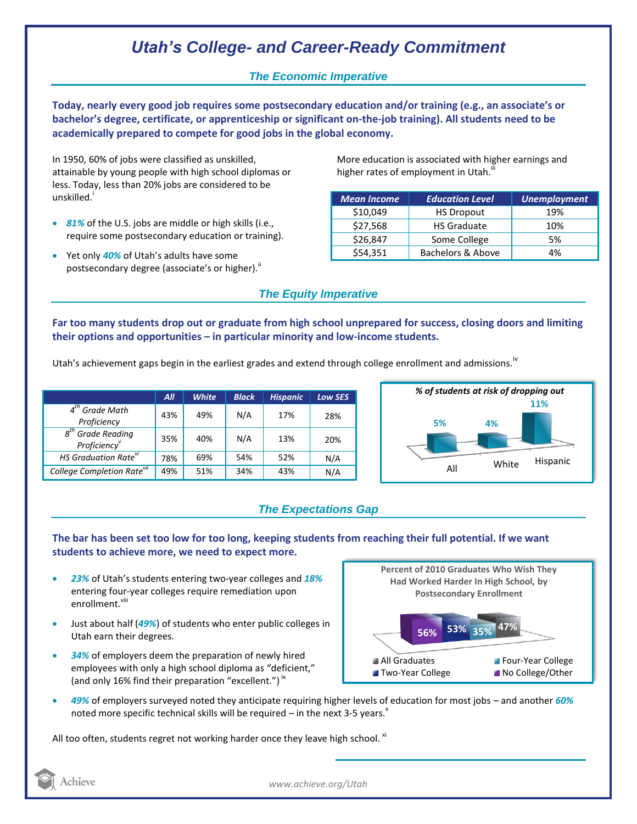# *Utah's College- and Career-Ready Commitment*

### *The Economic Imperative*

**Today, nearly every good job requires some postsecondary education and/or training (e.g., an associate's or bachelor's degree, certificate, or apprenticeship or significant on-the-job training). All students need to be academically prepared to compete for good jobs in the global economy.**

In 1950, 60% of jobs were classified as unskilled, attainable by young people with high school diplomas or less. Today, less than 20% jobs are considered to be unskilled.<sup>1</sup>

- *81%* of the U.S. jobs are middle or high skills (i.e., require some postsecondary education or training).
- Yet only *40%* of Utah's adults have some postsecondary degree (associate's or higher).<sup>ii</sup>

More education is associated with higher earnings and higher rates of employment in Utah.<sup>""</sup>

| <b>Mean Income</b> | <b>Education Level</b> | <b>Unemployment</b> |
|--------------------|------------------------|---------------------|
| \$10,049           | <b>HS Dropout</b>      | 19%                 |
| \$27,568           | <b>HS Graduate</b>     | 10%                 |
| \$26,847           | Some College           | 5%                  |
| \$54,351           | Bachelors & Above      | 4%                  |

## *The Equity Imperative*

**Far too many students drop out or graduate from high school unprepared for success, closing doors and limiting their options and opportunities – in particular minority and low-income students.** 

Utah's achievement gaps begin in the earliest grades and extend through college enrollment and admissions.<sup>iv</sup>

|                                                                    | All | <b>White</b> | <b>Black</b> | <b>Hispanic</b> | <b>Low SES</b> |
|--------------------------------------------------------------------|-----|--------------|--------------|-----------------|----------------|
| $4th$ Grade Math<br>Proficiency                                    | 43% | 49%          | N/A          | 17%             | 28%            |
| $g^{th}$<br><sup>n</sup> Grade Reading<br>Proficiency <sup>v</sup> | 35% | 40%          | N/A          | 13%             | 20%            |
| HS Graduation Rate <sup>vi</sup>                                   | 78% | 69%          | 54%          | 52%             | N/A            |
| College Completion Rate <sup>vii</sup>                             | 49% | 51%          | 34%          | 43%             | N/A            |



## *The Expectations Gap*

#### **The bar has been set too low for too long, keeping students from reaching their full potential. If we want students to achieve more, we need to expect more.**

- *23%* of Utah's students entering two-year colleges and *18%* entering four-year colleges require remediation upon enrollment.<sup>viii</sup>
- Just about half (*49%*) of students who enter public colleges in Utah earn their degrees.
- *34%* of employers deem the preparation of newly hired employees with only a high school diploma as "deficient," (and only 16% find their preparation "excellent.")<sup>ix</sup>



 *49%* of employers surveyed noted they anticipate requiring higher levels of education for most jobs – and another *60%* noted more specific technical skills will be required  $-$  in the next 3-5 years.<sup>x</sup>

All too often, students regret not working harder once they leave high school.  $x_i$ 



*www.achieve.org/Utah*